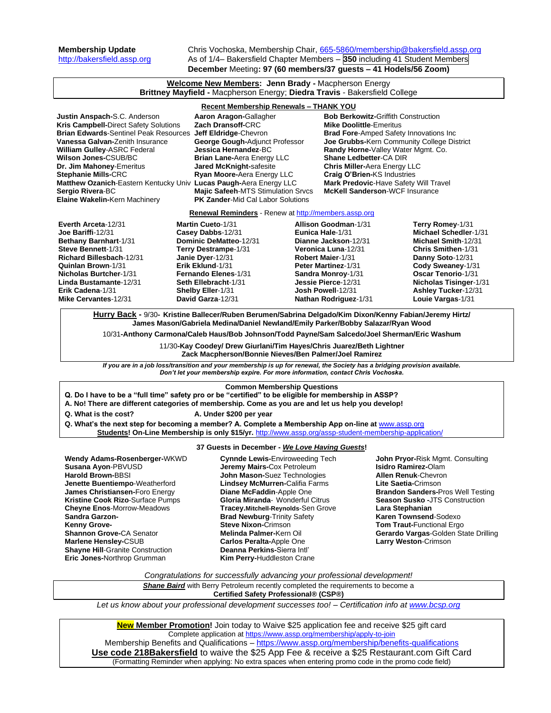**Membership Update** Chris Vochoska, Membership Chair, [665-5860/membership@bakersfield.assp.org](mailto:665-5860/membership@bakersfield.assp.org) [http://bakersfield.assp.org](http://bakersfield.assp.org/) As of 1/4– Bakersfield Chapter Members – **350** including 41 Student Members **December** Meeting**: 97 (60 members/37 guests – 41 Hodels/56 Zoom)**

| Welcome New Members: Jenn Brady - Macpherson Energy                        |
|----------------------------------------------------------------------------|
| Brittney Mayfield - Macpherson Energy; Diedra Travis - Bakersfield College |

#### **Recent Membership Renewals – THANK YOU**

**Justin Anspach-**S.C. Anderson **Aaron Aragon-**Gallagher **Bob Berkowitz-**Griffith Construction<br> **Kris Campbell-**Direct Safety Solutions **Zach Dransoff-**CRC **Mike Doolittle-Emeritus Kris Campbell-**Direct Safety Solutions **Zach Dransoff-CRC Mike Doolittle-Emeritus Branch Dransoff- Branch Dransoff- CRC Branch Branch Branch Conditions** Inc **Brian Edwards**-Sentinel Peak Resources Jeff Eldridge-Chevron<br>**Vanessa Galvan-**Zenith Insurance **George Gough-**Adjunct Professor **William Gulley**-ASRC Federal **Jessica Hernandez**-BC **Randy Horne-**Valley Water Mgmt. Co. **Dr. Jim Mahoney**-Emeritus **Jared McKnight-**safesite **Chris Miller-**Aera Energy LLC **Matthew Ozanich**-Eastern Kentucky Univ **Lucas Paugh-**Aera Energy LLC **Mark Predovic**-Have Safety Will Travel **Sergio Rivera-BC Majic Safeeh-MTS Stimulation Srvcs**<br> **Elaine Wakelin-Kern Machinery PK Zander-Mid Cal Labor Solutions** 

**Brian Lane-Aera Energy LLC PK Zander-Mid Cal Labor Solutions** 

**Vanessa Galvan-**Zenith Insurance **George Gough-**Adjunct Professor **Joe Grubbs-**Kern Community College District **Ryan Moore-Aera Energy LLC Craig O'Brien-KS Industries<br><b>Lucas Paugh-**Aera Energy LLC Mark Predovic-Have Safety Will Travel

### **Renewal Reminders** - Renew a[t http://members.assp.org](http://members.assp.org/)

| Everth Arceta-12/31             | <b>Martin Cueto-1/31</b> | <b>Allison Goodman-1/31</b>  | Terry Romey-1/31              |
|---------------------------------|--------------------------|------------------------------|-------------------------------|
| Joe Bariffi-12/31               | Casey Dabbs-12/31        | Eunica Hale-1/31             | <b>Michael Schedler-1/31</b>  |
| <b>Bethany Barnhart-1/31</b>    | Dominic DeMatteo-12/31   | Dianne Jackson-12/31         | <b>Michael Smith-12/31</b>    |
| Steve Bennett-1/31              | Terry Destrampe-1/31     | Veronica Luna-12/31          | Chris Smithen-1/31            |
| <b>Richard Billesbach-12/31</b> | Janie Dyer-12/31         | Robert Maier-1/31            | Danny Soto-12/31              |
| Quinlan Brown-1/31              | Erik Eklund-1/31         | <b>Peter Martinez-1/31</b>   | Cody Sweaney-1/31             |
| <b>Nicholas Burtcher-1/31</b>   | Fernando Elenes-1/31     | Sandra Monroy-1/31           | <b>Oscar Tenorio-1/31</b>     |
| Linda Bustamante-12/31          | Seth Ellebracht-1/31     | Jessie Pierce-12/31          | <b>Nicholas Tisinger-1/31</b> |
| Erik Cadena-1/31                | Shelby Eller-1/31        | Josh Powell-12/31            | Ashlev Tucker-12/31           |
| Mike Cervantes-12/31            | David Garza-12/31        | <b>Nathan Rodriguez-1/31</b> | Louie Vargas-1/31             |
|                                 |                          |                              |                               |

**Hurry Back -** 9/30**- Kristine Ballecer/Ruben Berumen/Sabrina Delgado/Kim Dixon/Kenny Fabian/Jeremy Hirtz/ James Mason/Gabriela Medina/Daniel Newland/Emily Parker/Bobby Salazar/Ryan Wood**

10/31**-Anthony Carmona/Caleb Haus/Bob Johnson/Todd Payne/Sam Salcedo/Joel Sherman/Eric Washum**

11/30**-Kay Coodey/ Drew Giurlani/Tim Hayes/Chris Juarez/Beth Lightner Zack Macpherson/Bonnie Nieves/Ben Palmer/Joel Ramirez**

*If you are in a job loss/transition and your membership is up for renewal, the Society has a bridging provision available.*  Don't let your membership expire. For more information, contact Chris Vochoska.

### **Common Membership Questions**

- **Q. Do I have to be a "full time" safety pro or be "certified" to be eligible for membership in ASSP?**
- **A. No! There are different categories of membership. Come as you are and let us help you develop!**
- **Q. What is the cost? A. Under \$200 per year**

**Q. What's the next step for becoming a member? A. Complete a Membership App on-line at** [www.assp.org](http://www.assp.org/) **Students! On-Line Membership is only \$15/yr.** <http://www.assp.org/assp-student-membership-application/>

**37 Guests in December -** *We Love Having Guests***!**

**Wendy Adams-Rosenberger-**WKWD **Susana Ayon**-PBVUSD **Harold Brown-**BBSI **Jenette Buentiempo**-Weatherford **James Christiansen-**Foro Energy **Kristine Cook Rizo**-Surface Pumps **Cheyne Enos**-Morrow-Meadows **Sandra Garzon-Kenny Grove-Shannon Grove-**CA Senator **Marlene Hensley-**CSUB **Shayne Hill-Granite Construction Eric Jones-**Northrop Grumman

**Cynnde Lewis-**Enviroweeding Tech **Jeremy Mairs-**Cox Petroleum **John Mason-**Suez Technologies **Lindsey McMurren-**Califia Farms **Diane McFaddin**-Apple One **Gloria Miranda**- Wonderful Citrus **Tracey.Mitchell-Reynolds**-Sen Grove **Brad Newburg**-Trinity Safety **Steve Nixon-**Crimson **Melinda Palmer-**Kern Oil **Carlos Peralta-**Apple One **Deanna Perkins-**Sierra Intl' **Kim Perry-**Huddleston Crane

**John Pryor-**Risk Mgmt. Consulting **Isidro Ramirez-**Olam **Allen Renuk**-Chevron **Lite Saetia-**Crimson **Brandon Sanders-**Pros Well Testing **Season Susko -**JTS Construction **Lara Stephanian Karen Townsend**-Sodexo **Tom Traut-**Functional Ergo **Gerardo Vargas**-Golden State Drilling **Larry Weston**-Crimson

*Congratulations for successfully advancing your professional development!*

**Shane Baird** with Berry Petroleum recently completed the requirements to become a

**Certified Safety Professional® (CSP®)**

*Let us know about your professional development successes too! – Certification info at [www.bcsp.org](http://www.bcsp.org/)*

**New Member Promotion!** Join today to Waive \$25 application fee and receive \$25 gift card Complete application at<https://www.assp.org/membership/apply-to-join> Membership Benefits and Qualifications – <https://www.assp.org/membership/benefits-qualifications> **Use code 218Bakersfield** to waive the \$25 App Fee & receive a \$25 Restaurant.com Gift Card (Formatting Reminder when applying: No extra spaces when entering promo code in the promo code field)